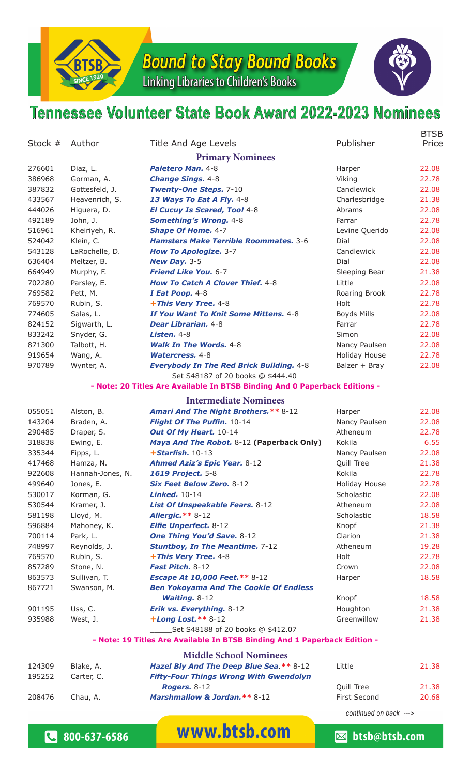

*Bound to Stay Bound Books*

Linking Libraries to Children's Books



## **Tennessee Volunteer State Book Award 2022-2023 Nominees**

| Stock $#$ | Author           | Title And Age Levels                                                       | Publisher            | <b>BTSB</b><br>Price |
|-----------|------------------|----------------------------------------------------------------------------|----------------------|----------------------|
|           |                  | <b>Primary Nominees</b>                                                    |                      |                      |
| 276601    | Diaz, L.         | Paletero Man. 4-8                                                          | Harper               | 22.08                |
| 386968    | Gorman, A.       | <b>Change Sings. 4-8</b>                                                   | Viking               | 22.78                |
| 387832    | Gottesfeld, J.   | <b>Twenty-One Steps. 7-10</b>                                              | Candlewick           | 22.08                |
| 433567    | Heavenrich, S.   | 13 Ways To Eat A Fly. 4-8                                                  | Charlesbridge        | 21.38                |
| 444026    | Higuera, D.      | <b>El Cucuy Is Scared, Too! 4-8</b>                                        | Abrams               | 22.08                |
| 492189    | John, J.         | <b>Something's Wrong. 4-8</b>                                              | Farrar               | 22.78                |
| 516961    | Kheiriyeh, R.    | <b>Shape Of Home. 4-7</b>                                                  | Levine Querido       | 22.08                |
| 524042    | Klein, C.        | Hamsters Make Terrible Roommates. 3-6                                      | Dial                 | 22.08                |
| 543128    | LaRochelle, D.   | <b>How To Apologize. 3-7</b>                                               | Candlewick           | 22.08                |
| 636404    | Meltzer, B.      | New Day. 3-5                                                               | Dial                 | 22.08                |
| 664949    | Murphy, F.       | Friend Like You. 6-7                                                       | Sleeping Bear        | 21.38                |
| 702280    | Parsley, E.      | <b>How To Catch A Clover Thief. 4-8</b>                                    | Little               | 22.08                |
| 769582    | Pett, M.         | I Eat Poop. 4-8                                                            | Roaring Brook        | 22.78                |
| 769570    | Rubin, S.        | +This Very Tree. 4-8                                                       | Holt                 | 22.78                |
| 774605    | Salas, L.        | If You Want To Knit Some Mittens. 4-8                                      | <b>Boyds Mills</b>   | 22.08                |
| 824152    | Sigwarth, L.     | Dear Librarian. 4-8                                                        | Farrar               | 22.78                |
| 833242    | Snyder, G.       | <b>Listen. 4-8</b>                                                         | Simon                | 22.08                |
| 871300    | Talbott, H.      | <b>Walk In The Words. 4-8</b>                                              | Nancy Paulsen        | 22.08                |
| 919654    | Wang, A.         | <b>Watercress, 4-8</b>                                                     | <b>Holiday House</b> | 22.78                |
| 970789    | Wynter, A.       | <b>Everybody In The Red Brick Building. 4-8</b>                            | Balzer + Bray        | 22.08                |
|           |                  | Set S48187 of 20 books @ \$444.40                                          |                      |                      |
|           |                  | - Note: 20 Titles Are Available In BTSB Binding And 0 Paperback Editions - |                      |                      |
|           |                  | <b>Intermediate Nominees</b>                                               |                      |                      |
| 055051    | Alston, B.       | <b>Amari And The Night Brothers.** 8-12</b>                                | Harper               | 22.08                |
| 143204    | Braden, A.       | Flight Of The Puffin. 10-14                                                | Nancy Paulsen        | 22.08                |
| 290485    | Draper, S.       | Out Of My Heart. 10-14                                                     | Atheneum             | 22.78                |
| 318838    | Ewing, E.        | Maya And The Robot. 8-12 (Paperback Only)                                  | Kokila               | 6.55                 |
| 335344    | Fipps, L.        | $+$ Starfish. 10-13                                                        | Nancy Paulsen        | 22.08                |
| 417468    | Hamza, N.        | <b>Ahmed Aziz's Epic Year. 8-12</b>                                        | Quill Tree           | 21.38                |
| 922608    | Hannah-Jones, N. | 1619 Project. 5-8                                                          | Kokila               | 22.78                |
| 499640    | Jones, E.        | Six Feet Below Zero. 8-12                                                  | Holiday House        | 22.78                |
| 530017    | Korman, G.       | <b>Linked.</b> 10-14                                                       | Scholastic           | 22.08                |
| 530544    | Kramer, J.       | List Of Unspeakable Fears. 8-12                                            | Atheneum             | 22.08                |
| 581198    | Lloyd, M.        | <b>Allergic. ** 8-12</b>                                                   | Scholastic           | 18.58                |
| 596884    | Mahoney, K.      | <b>Elfie Unperfect. 8-12</b>                                               | Knopf                | 21.38                |
| 700114    | Park, L.         | <b>One Thing You'd Save. 8-12</b>                                          | Clarion              | 21.38                |
| 748997    | Reynolds, J.     | <b>Stuntboy, In The Meantime. 7-12</b>                                     | Atheneum             | 19.28                |
| 769570    | Rubin, S.        | +This Very Tree. 4-8                                                       | Holt                 | 22.78                |
| 857289    | Stone, N.        | Fast Pitch. 8-12                                                           | Crown                | 22.08                |
| 863573    | Sullivan, T.     | <b>Escape At 10,000 Feet.** 8-12</b>                                       | Harper               | 18.58                |
| 867721    | Swanson, M.      | <b>Ben Yokoyama And The Cookie Of Endless</b>                              |                      |                      |
|           |                  | <b>Waiting. 8-12</b>                                                       | Knopf                | 18.58                |
| 901195    | Uss, C.          | Erik vs. Everything. 8-12                                                  | Houghton             | 21.38                |
| 935988    | West, J.         | $+ Long$ Lost. ** 8-12                                                     | Greenwillow          | 21.38                |
|           |                  | Set S48188 of 20 books @ \$412.07                                          |                      |                      |
|           |                  | - Note: 19 Titles Are Available In BTSB Binding And 1 Paperback Edition -  |                      |                      |
|           |                  | <b>Middle School Nominees</b>                                              |                      |                      |
| 124309    | Blake, A.        | Hazel Bly And The Deep Blue Sea.** 8-12                                    | Little               | 21.38                |
| 195252    | Carter, C.       | <b>Fifty-Four Things Wrong With Gwendolyn</b>                              |                      |                      |
|           |                  | <b>Rogers. 8-12</b>                                                        | Quill Tree           | 21.38                |
| 208476    | Chau, A.         | Marshmallow & Jordan. ** 8-12                                              | First Second         | 20.68                |

*continued on back --->*

**&** 800-637-6586 **WWW.btsb.com business** btsb@btsb.com